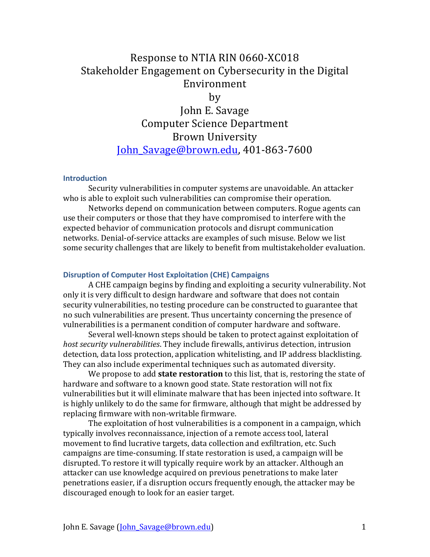# Response to NTIA RIN 0660-XC018 Stakeholder Engagement on Cybersecurity in the Digital Environment

by

John E. Savage Computer Science Department Brown University John\_Savage@brown.edu, 401-863-7600

### **Introduction**

Security vulnerabilities in computer systems are unavoidable. An attacker who is able to exploit such vulnerabilities can compromise their operation.

Networks depend on communication between computers. Rogue agents can use their computers or those that they have compromised to interfere with the expected behavior of communication protocols and disrupt communication networks. Denial-of-service attacks are examples of such misuse. Below we list some security challenges that are likely to benefit from multistakeholder evaluation.

#### **Disruption of Computer Host Exploitation (CHE) Campaigns**

A CHE campaign begins by finding and exploiting a security vulnerability. Not only it is very difficult to design hardware and software that does not contain security vulnerabilities, no testing procedure can be constructed to guarantee that no such vulnerabilities are present. Thus uncertainty concerning the presence of vulnerabilities is a permanent condition of computer hardware and software.

Several well-known steps should be taken to protect against exploitation of *host security vulnerabilities*. They include firewalls, antivirus detection, intrusion detection, data loss protection, application whitelisting, and IP address blacklisting. They can also include experimental techniques such as automated diversity.

We propose to add **state restoration** to this list, that is, restoring the state of hardware and software to a known good state. State restoration will not fix vulnerabilities but it will eliminate malware that has been injected into software. It is highly unlikely to do the same for firmware, although that might be addressed by replacing firmware with non-writable firmware.

The exploitation of host vulnerabilities is a component in a campaign, which typically involves reconnaissance, injection of a remote access tool, lateral movement to find lucrative targets, data collection and exfiltration, etc. Such campaigns are time-consuming. If state restoration is used, a campaign will be disrupted. To restore it will typically require work by an attacker. Although an attacker can use knowledge acquired on previous penetrations to make later penetrations easier, if a disruption occurs frequently enough, the attacker may be discouraged enough to look for an easier target.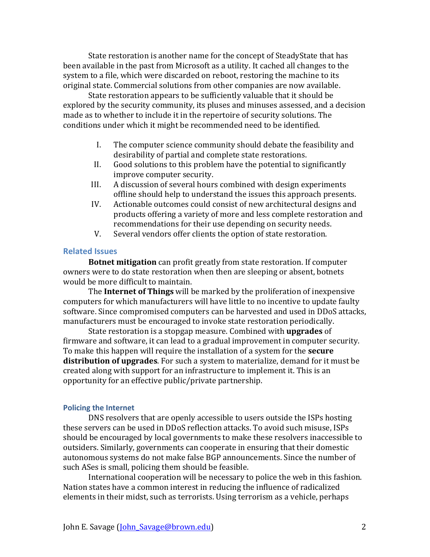State restoration is another name for the concept of SteadyState that has been available in the past from Microsoft as a utility. It cached all changes to the system to a file, which were discarded on reboot, restoring the machine to its original state. Commercial solutions from other companies are now available.

State restoration appears to be sufficiently valuable that it should be explored by the security community, its pluses and minuses assessed, and a decision made as to whether to include it in the repertoire of security solutions. The conditions under which it might be recommended need to be identified.

- I. The computer science community should debate the feasibility and desirability of partial and complete state restorations.
- II. Good solutions to this problem have the potential to significantly improve computer security.
- III. A discussion of several hours combined with design experiments offline should help to understand the issues this approach presents.
- IV. Actionable outcomes could consist of new architectural designs and products offering a variety of more and less complete restoration and recommendations for their use depending on security needs.
- V. Several vendors offer clients the option of state restoration.

## **Related Issues**

**Botnet mitigation** can profit greatly from state restoration. If computer owners were to do state restoration when then are sleeping or absent, botnets would be more difficult to maintain.

The **Internet of Things** will be marked by the proliferation of inexpensive computers for which manufacturers will have little to no incentive to update faulty software. Since compromised computers can be harvested and used in DDoS attacks, manufacturers must be encouraged to invoke state restoration periodically.

State restoration is a stopgap measure. Combined with **upgrades** of firmware and software, it can lead to a gradual improvement in computer security. To make this happen will require the installation of a system for the **secure distribution of upgrades**. For such a system to materialize, demand for it must be created along with support for an infrastructure to implement it. This is an opportunity for an effective public/private partnership.

#### **Policing the Internet**

DNS resolvers that are openly accessible to users outside the ISPs hosting these servers can be used in DDoS reflection attacks. To avoid such misuse, ISPs should be encouraged by local governments to make these resolvers inaccessible to outsiders. Similarly, governments can cooperate in ensuring that their domestic autonomous systems do not make false BGP announcements. Since the number of such ASes is small, policing them should be feasible.

International cooperation will be necessary to police the web in this fashion. Nation states have a common interest in reducing the influence of radicalized elements in their midst, such as terrorists. Using terrorism as a vehicle, perhaps